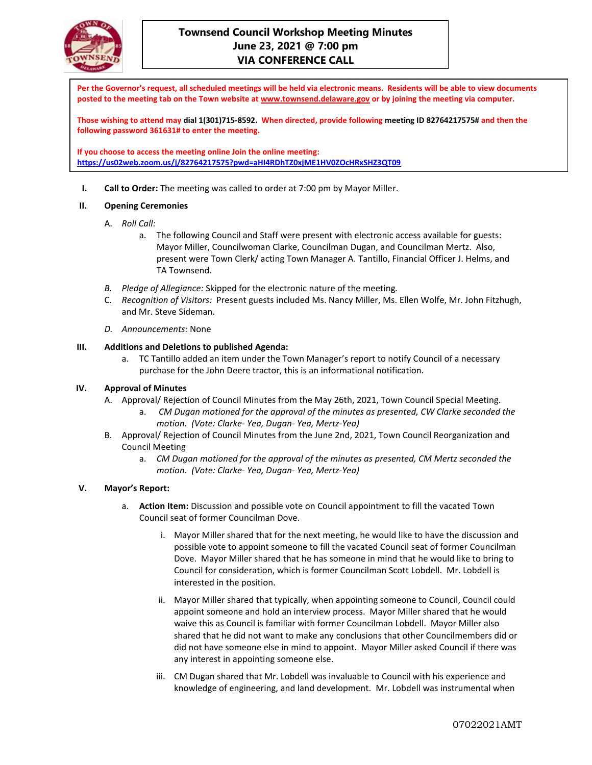

**Per the Governor's request, all scheduled meetings will be held via electronic means. Residents will be able to view documents posted to the meeting tab on the Town website a[t www.townsend.delaware.gov](http://www.townsend.delaware.gov/) or by joining the meeting via computer.**

**Those wishing to attend may dial 1(301)715-8592. When directed, provide following meeting ID 82764217575# and then the following password 361631# to enter the meeting.** 

**If you choose to access the meeting online Join the online meeting: <https://us02web.zoom.us/j/82764217575?pwd=aHI4RDhTZ0xjME1HV0ZOcHRxSHZ3QT09>**

**I. Call to Order:** The meeting was called to order at 7:00 pm by Mayor Miller.

### **II. Opening Ceremonies**

- A. *Roll Call:*
	- a. The following Council and Staff were present with electronic access available for guests: Mayor Miller, Councilwoman Clarke, Councilman Dugan, and Councilman Mertz. Also, present were Town Clerk/ acting Town Manager A. Tantillo, Financial Officer J. Helms, and TA Townsend.
- *B. Pledge of Allegiance:* Skipped for the electronic nature of the meeting*.*
- C. *Recognition of Visitors:* Present guests included Ms. Nancy Miller, Ms. Ellen Wolfe, Mr. John Fitzhugh, and Mr. Steve Sideman.
- *D. Announcements:* None

### **III. Additions and Deletions to published Agenda:**

a. TC Tantillo added an item under the Town Manager's report to notify Council of a necessary purchase for the John Deere tractor, this is an informational notification.

# **IV. Approval of Minutes**

- A. Approval/ Rejection of Council Minutes from the May 26th, 2021, Town Council Special Meeting.
	- a. *CM Dugan motioned for the approval of the minutes as presented, CW Clarke seconded the motion. (Vote: Clarke- Yea, Dugan- Yea, Mertz-Yea)*
- B. Approval/ Rejection of Council Minutes from the June 2nd, 2021, Town Council Reorganization and Council Meeting
	- a. *CM Dugan motioned for the approval of the minutes as presented, CM Mertz seconded the motion. (Vote: Clarke- Yea, Dugan- Yea, Mertz-Yea)*

# **V. Mayor's Report:**

- a. **Action Item:** Discussion and possible vote on Council appointment to fill the vacated Town Council seat of former Councilman Dove.
	- i. Mayor Miller shared that for the next meeting, he would like to have the discussion and possible vote to appoint someone to fill the vacated Council seat of former Councilman Dove. Mayor Miller shared that he has someone in mind that he would like to bring to Council for consideration, which is former Councilman Scott Lobdell. Mr. Lobdell is interested in the position.
	- ii. Mayor Miller shared that typically, when appointing someone to Council, Council could appoint someone and hold an interview process. Mayor Miller shared that he would waive this as Council is familiar with former Councilman Lobdell. Mayor Miller also shared that he did not want to make any conclusions that other Councilmembers did or did not have someone else in mind to appoint. Mayor Miller asked Council if there was any interest in appointing someone else.
	- iii. CM Dugan shared that Mr. Lobdell was invaluable to Council with his experience and knowledge of engineering, and land development. Mr. Lobdell was instrumental when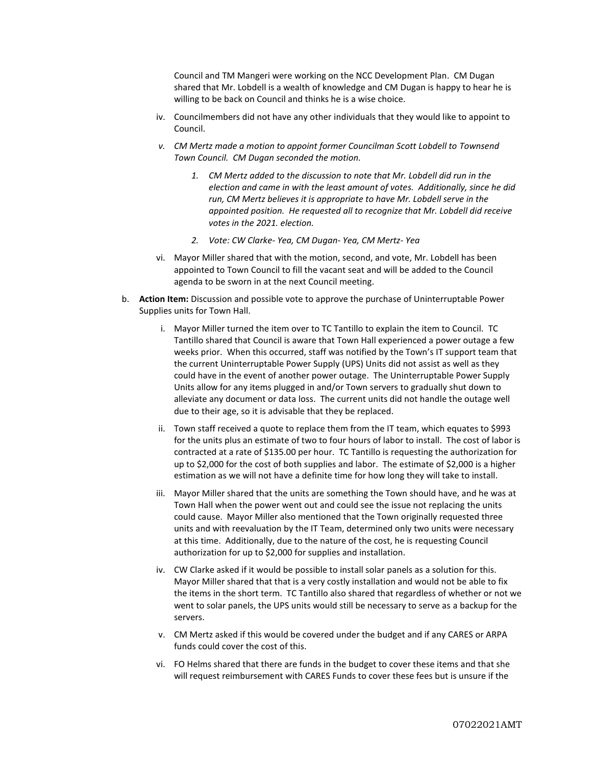Council and TM Mangeri were working on the NCC Development Plan. CM Dugan shared that Mr. Lobdell is a wealth of knowledge and CM Dugan is happy to hear he is willing to be back on Council and thinks he is a wise choice.

- iv. Councilmembers did not have any other individuals that they would like to appoint to Council.
- *v. CM Mertz made a motion to appoint former Councilman Scott Lobdell to Townsend Town Council. CM Dugan seconded the motion.* 
	- *1. CM Mertz added to the discussion to note that Mr. Lobdell did run in the election and came in with the least amount of votes. Additionally, since he did run, CM Mertz believes it is appropriate to have Mr. Lobdell serve in the appointed position. He requested all to recognize that Mr. Lobdell did receive votes in the 2021. election.*
	- *2. Vote: CW Clarke- Yea, CM Dugan- Yea, CM Mertz- Yea*
- vi. Mayor Miller shared that with the motion, second, and vote, Mr. Lobdell has been appointed to Town Council to fill the vacant seat and will be added to the Council agenda to be sworn in at the next Council meeting.
- b. **Action Item:** Discussion and possible vote to approve the purchase of Uninterruptable Power Supplies units for Town Hall.
	- i. Mayor Miller turned the item over to TC Tantillo to explain the item to Council. TC Tantillo shared that Council is aware that Town Hall experienced a power outage a few weeks prior. When this occurred, staff was notified by the Town's IT support team that the current Uninterruptable Power Supply (UPS) Units did not assist as well as they could have in the event of another power outage. The Uninterruptable Power Supply Units allow for any items plugged in and/or Town servers to gradually shut down to alleviate any document or data loss. The current units did not handle the outage well due to their age, so it is advisable that they be replaced.
	- ii. Town staff received a quote to replace them from the IT team, which equates to \$993 for the units plus an estimate of two to four hours of labor to install. The cost of labor is contracted at a rate of \$135.00 per hour. TC Tantillo is requesting the authorization for up to \$2,000 for the cost of both supplies and labor. The estimate of \$2,000 is a higher estimation as we will not have a definite time for how long they will take to install.
	- iii. Mayor Miller shared that the units are something the Town should have, and he was at Town Hall when the power went out and could see the issue not replacing the units could cause. Mayor Miller also mentioned that the Town originally requested three units and with reevaluation by the IT Team, determined only two units were necessary at this time. Additionally, due to the nature of the cost, he is requesting Council authorization for up to \$2,000 for supplies and installation.
	- iv. CW Clarke asked if it would be possible to install solar panels as a solution for this. Mayor Miller shared that that is a very costly installation and would not be able to fix the items in the short term. TC Tantillo also shared that regardless of whether or not we went to solar panels, the UPS units would still be necessary to serve as a backup for the servers.
	- v. CM Mertz asked if this would be covered under the budget and if any CARES or ARPA funds could cover the cost of this.
	- vi. FO Helms shared that there are funds in the budget to cover these items and that she will request reimbursement with CARES Funds to cover these fees but is unsure if the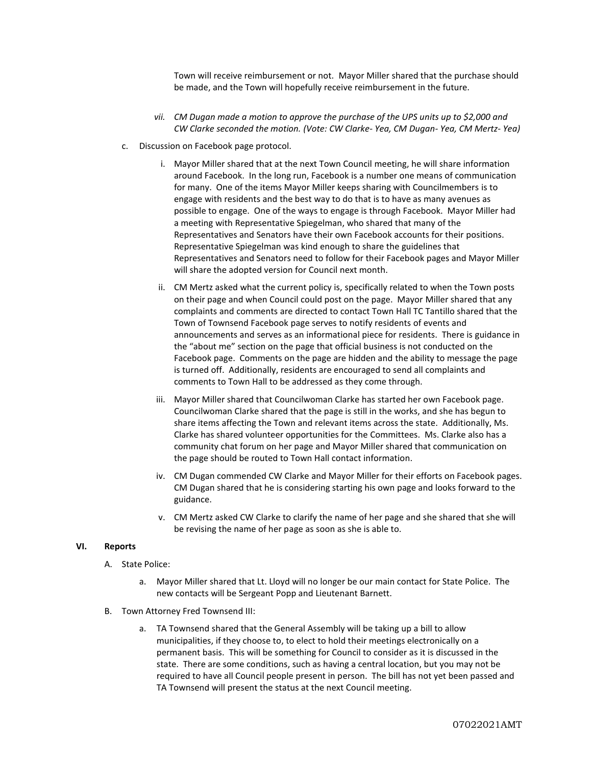Town will receive reimbursement or not. Mayor Miller shared that the purchase should be made, and the Town will hopefully receive reimbursement in the future.

- *vii. CM Dugan made a motion to approve the purchase of the UPS units up to \$2,000 and CW Clarke seconded the motion. (Vote: CW Clarke- Yea, CM Dugan- Yea, CM Mertz- Yea)*
- c. Discussion on Facebook page protocol.
	- i. Mayor Miller shared that at the next Town Council meeting, he will share information around Facebook. In the long run, Facebook is a number one means of communication for many. One of the items Mayor Miller keeps sharing with Councilmembers is to engage with residents and the best way to do that is to have as many avenues as possible to engage. One of the ways to engage is through Facebook. Mayor Miller had a meeting with Representative Spiegelman, who shared that many of the Representatives and Senators have their own Facebook accounts for their positions. Representative Spiegelman was kind enough to share the guidelines that Representatives and Senators need to follow for their Facebook pages and Mayor Miller will share the adopted version for Council next month.
	- ii. CM Mertz asked what the current policy is, specifically related to when the Town posts on their page and when Council could post on the page. Mayor Miller shared that any complaints and comments are directed to contact Town Hall TC Tantillo shared that the Town of Townsend Facebook page serves to notify residents of events and announcements and serves as an informational piece for residents. There is guidance in the "about me" section on the page that official business is not conducted on the Facebook page. Comments on the page are hidden and the ability to message the page is turned off. Additionally, residents are encouraged to send all complaints and comments to Town Hall to be addressed as they come through.
	- iii. Mayor Miller shared that Councilwoman Clarke has started her own Facebook page. Councilwoman Clarke shared that the page is still in the works, and she has begun to share items affecting the Town and relevant items across the state. Additionally, Ms. Clarke has shared volunteer opportunities for the Committees. Ms. Clarke also has a community chat forum on her page and Mayor Miller shared that communication on the page should be routed to Town Hall contact information.
	- iv. CM Dugan commended CW Clarke and Mayor Miller for their efforts on Facebook pages. CM Dugan shared that he is considering starting his own page and looks forward to the guidance.
	- v. CM Mertz asked CW Clarke to clarify the name of her page and she shared that she will be revising the name of her page as soon as she is able to.

#### **VI. Reports**

- A. State Police:
	- a. Mayor Miller shared that Lt. Lloyd will no longer be our main contact for State Police. The new contacts will be Sergeant Popp and Lieutenant Barnett.
- B. Town Attorney Fred Townsend III:
	- a. TA Townsend shared that the General Assembly will be taking up a bill to allow municipalities, if they choose to, to elect to hold their meetings electronically on a permanent basis. This will be something for Council to consider as it is discussed in the state. There are some conditions, such as having a central location, but you may not be required to have all Council people present in person. The bill has not yet been passed and TA Townsend will present the status at the next Council meeting.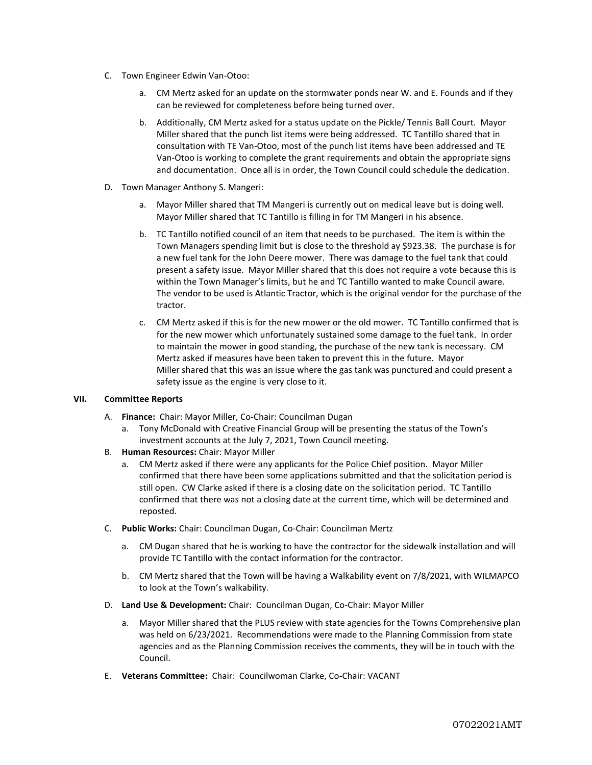- C. Town Engineer Edwin Van-Otoo:
	- a. CM Mertz asked for an update on the stormwater ponds near W. and E. Founds and if they can be reviewed for completeness before being turned over.
	- b. Additionally, CM Mertz asked for a status update on the Pickle/ Tennis Ball Court. Mayor Miller shared that the punch list items were being addressed. TC Tantillo shared that in consultation with TE Van-Otoo, most of the punch list items have been addressed and TE Van-Otoo is working to complete the grant requirements and obtain the appropriate signs and documentation. Once all is in order, the Town Council could schedule the dedication.
- D. Town Manager Anthony S. Mangeri:
	- a. Mayor Miller shared that TM Mangeri is currently out on medical leave but is doing well. Mayor Miller shared that TC Tantillo is filling in for TM Mangeri in his absence.
	- b. TC Tantillo notified council of an item that needs to be purchased. The item is within the Town Managers spending limit but is close to the threshold ay \$923.38. The purchase is for a new fuel tank for the John Deere mower. There was damage to the fuel tank that could present a safety issue. Mayor Miller shared that this does not require a vote because this is within the Town Manager's limits, but he and TC Tantillo wanted to make Council aware. The vendor to be used is Atlantic Tractor, which is the original vendor for the purchase of the tractor.
	- c. CM Mertz asked if this is for the new mower or the old mower. TC Tantillo confirmed that is for the new mower which unfortunately sustained some damage to the fuel tank. In order to maintain the mower in good standing, the purchase of the new tank is necessary. CM Mertz asked if measures have been taken to prevent this in the future. Mayor Miller shared that this was an issue where the gas tank was punctured and could present a safety issue as the engine is very close to it.

# **VII. Committee Reports**

- A. **Finance:** Chair: Mayor Miller, Co-Chair: Councilman Dugan
	- a. Tony McDonald with Creative Financial Group will be presenting the status of the Town's investment accounts at the July 7, 2021, Town Council meeting.
- B. **Human Resources:** Chair: Mayor Miller
	- a. CM Mertz asked if there were any applicants for the Police Chief position. Mayor Miller confirmed that there have been some applications submitted and that the solicitation period is still open. CW Clarke asked if there is a closing date on the solicitation period. TC Tantillo confirmed that there was not a closing date at the current time, which will be determined and reposted.
- C. **Public Works:** Chair: Councilman Dugan, Co-Chair: Councilman Mertz
	- a. CM Dugan shared that he is working to have the contractor for the sidewalk installation and will provide TC Tantillo with the contact information for the contractor.
	- b. CM Mertz shared that the Town will be having a Walkability event on 7/8/2021, with WILMAPCO to look at the Town's walkability.
- D. **Land Use & Development:** Chair: Councilman Dugan, Co-Chair: Mayor Miller
	- a. Mayor Miller shared that the PLUS review with state agencies for the Towns Comprehensive plan was held on 6/23/2021. Recommendations were made to the Planning Commission from state agencies and as the Planning Commission receives the comments, they will be in touch with the Council.
- E. **Veterans Committee:** Chair: Councilwoman Clarke, Co-Chair: VACANT